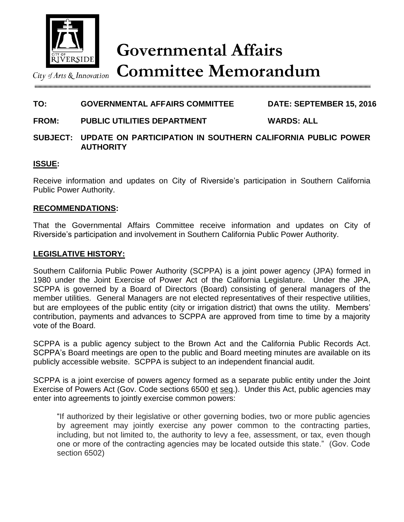

City of Arts  $\&$  Innovation

**TO: GOVERNMENTAL AFFAIRS COMMITTEE DATE: SEPTEMBER 15, 2016**

# **FROM: PUBLIC UTILITIES DEPARTMENT WARDS: ALL**

### **SUBJECT: UPDATE ON PARTICIPATION IN SOUTHERN CALIFORNIA PUBLIC POWER AUTHORITY**

#### **ISSUE:**

Receive information and updates on City of Riverside's participation in Southern California Public Power Authority.

#### **RECOMMENDATIONS:**

That the Governmental Affairs Committee receive information and updates on City of Riverside's participation and involvement in Southern California Public Power Authority.

#### **LEGISLATIVE HISTORY:**

Southern California Public Power Authority (SCPPA) is a joint power agency (JPA) formed in 1980 under the Joint Exercise of Power Act of the California Legislature. Under the JPA, SCPPA is governed by a Board of Directors (Board) consisting of general managers of the member utilities. General Managers are not elected representatives of their respective utilities, but are employees of the public entity (city or irrigation district) that owns the utility. Members' contribution, payments and advances to SCPPA are approved from time to time by a majority vote of the Board.

SCPPA is a public agency subject to the Brown Act and the California Public Records Act. SCPPA's Board meetings are open to the public and Board meeting minutes are available on its publicly accessible website. SCPPA is subject to an independent financial audit.

SCPPA is a joint exercise of powers agency formed as a separate public entity under the Joint Exercise of Powers Act (Gov. Code sections 6500 et seq.). Under this Act, public agencies may enter into agreements to jointly exercise common powers:

"If authorized by their legislative or other governing bodies, two or more public agencies by agreement may jointly exercise any power common to the contracting parties, including, but not limited to, the authority to levy a fee, assessment, or tax, even though one or more of the contracting agencies may be located outside this state." (Gov. Code section 6502)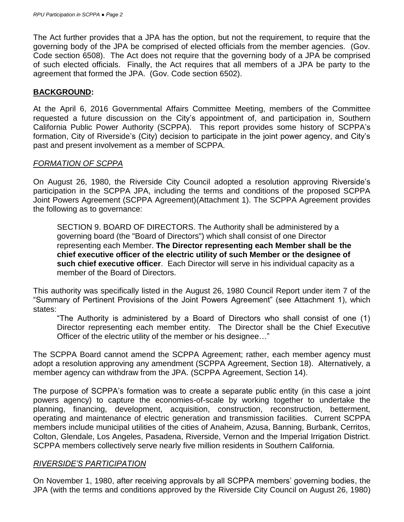The Act further provides that a JPA has the option, but not the requirement, to require that the governing body of the JPA be comprised of elected officials from the member agencies. (Gov. Code section 6508). The Act does not require that the governing body of a JPA be comprised of such elected officials. Finally, the Act requires that all members of a JPA be party to the agreement that formed the JPA. (Gov. Code section 6502).

### **BACKGROUND:**

At the April 6, 2016 Governmental Affairs Committee Meeting, members of the Committee requested a future discussion on the City's appointment of, and participation in, Southern California Public Power Authority (SCPPA). This report provides some history of SCPPA's formation, City of Riverside's (City) decision to participate in the joint power agency, and City's past and present involvement as a member of SCPPA.

### *FORMATION OF SCPPA*

On August 26, 1980, the Riverside City Council adopted a resolution approving Riverside's participation in the SCPPA JPA, including the terms and conditions of the proposed SCPPA Joint Powers Agreement (SCPPA Agreement)(Attachment 1). The SCPPA Agreement provides the following as to governance:

SECTION 9. BOARD OF DIRECTORS. The Authority shall be administered by a governing board (the "Board of Directors") which shall consist of one Director representing each Member. **The Director representing each Member shall be the chief executive officer of the electric utility of such Member or the designee of such chief executive officer**. Each Director will serve in his individual capacity as a member of the Board of Directors.

This authority was specifically listed in the August 26, 1980 Council Report under item 7 of the "Summary of Pertinent Provisions of the Joint Powers Agreement" (see Attachment 1), which states:

"The Authority is administered by a Board of Directors who shall consist of one (1) Director representing each member entity. The Director shall be the Chief Executive Officer of the electric utility of the member or his designee…"

The SCPPA Board cannot amend the SCPPA Agreement; rather, each member agency must adopt a resolution approving any amendment (SCPPA Agreement, Section 18). Alternatively, a member agency can withdraw from the JPA. (SCPPA Agreement, Section 14).

The purpose of SCPPA's formation was to create a separate public entity (in this case a joint powers agency) to capture the economies-of-scale by working together to undertake the planning, financing, development, acquisition, construction, reconstruction, betterment, operating and maintenance of electric generation and transmission facilities. Current SCPPA members include municipal utilities of the cities of Anaheim, Azusa, Banning, Burbank, Cerritos, Colton, Glendale, Los Angeles, Pasadena, Riverside, Vernon and the Imperial Irrigation District. SCPPA members collectively serve nearly five million residents in Southern California.

### *RIVERSIDE'S PARTICIPATION*

On November 1, 1980, after receiving approvals by all SCPPA members' governing bodies, the JPA (with the terms and conditions approved by the Riverside City Council on August 26, 1980)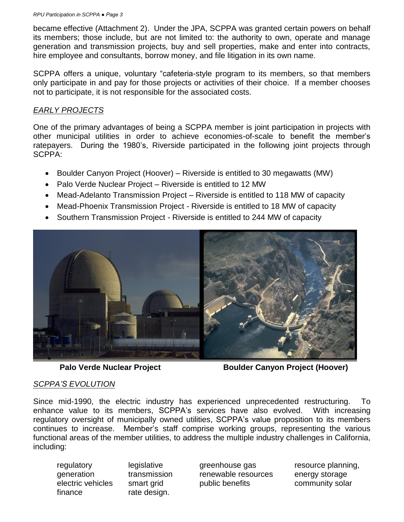became effective (Attachment 2). Under the JPA, SCPPA was granted certain powers on behalf its members; those include, but are not limited to: the authority to own, operate and manage generation and transmission projects, buy and sell properties, make and enter into contracts, hire employee and consultants, borrow money, and file litigation in its own name.

SCPPA offers a unique, voluntary "cafeteria-style program to its members, so that members only participate in and pay for those projects or activities of their choice. If a member chooses not to participate, it is not responsible for the associated costs.

## *EARLY PROJECTS*

One of the primary advantages of being a SCPPA member is joint participation in projects with other municipal utilities in order to achieve economies-of-scale to benefit the member's ratepayers. During the 1980's, Riverside participated in the following joint projects through SCPPA:

- Boulder Canyon Project (Hoover) Riverside is entitled to 30 megawatts (MW)
- Palo Verde Nuclear Project Riverside is entitled to 12 MW
- Mead-Adelanto Transmission Project Riverside is entitled to 118 MW of capacity
- Mead-Phoenix Transmission Project Riverside is entitled to 18 MW of capacity
- Southern Transmission Project Riverside is entitled to 244 MW of capacity



**Palo Verde Nuclear Project Boulder Canyon Project (Hoover)**

### *SCPPA'S EVOLUTION*

Since mid-1990, the electric industry has experienced unprecedented restructuring. To enhance value to its members, SCPPA's services have also evolved. With increasing regulatory oversight of municipally owned utilities, SCPPA's value proposition to its members continues to increase. Member's staff comprise working groups, representing the various functional areas of the member utilities, to address the multiple industry challenges in California, including:

finance rate design.

regulatory legislative greenhouse gas resource planning, generation transmission renewable resources energy storage electric vehicles smart grid bublic benefits community solar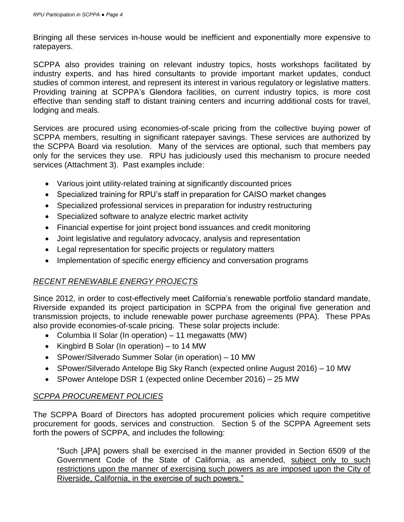Bringing all these services in-house would be inefficient and exponentially more expensive to ratepayers.

SCPPA also provides training on relevant industry topics, hosts workshops facilitated by industry experts, and has hired consultants to provide important market updates, conduct studies of common interest, and represent its interest in various regulatory or legislative matters. Providing training at SCPPA's Glendora facilities, on current industry topics, is more cost effective than sending staff to distant training centers and incurring additional costs for travel, lodging and meals.

Services are procured using economies-of-scale pricing from the collective buying power of SCPPA members, resulting in significant ratepayer savings. These services are authorized by the SCPPA Board via resolution. Many of the services are optional, such that members pay only for the services they use. RPU has judiciously used this mechanism to procure needed services (Attachment 3). Past examples include:

- Various joint utility-related training at significantly discounted prices
- Specialized training for RPU's staff in preparation for CAISO market changes
- Specialized professional services in preparation for industry restructuring
- Specialized software to analyze electric market activity
- Financial expertise for joint project bond issuances and credit monitoring
- Joint legislative and regulatory advocacy, analysis and representation
- Legal representation for specific projects or regulatory matters
- Implementation of specific energy efficiency and conversation programs

# *RECENT RENEWABLE ENERGY PROJECTS*

Since 2012, in order to cost-effectively meet California's renewable portfolio standard mandate, Riverside expanded its project participation in SCPPA from the original five generation and transmission projects, to include renewable power purchase agreements (PPA). These PPAs also provide economies-of-scale pricing. These solar projects include:

- Columbia II Solar (In operation) 11 megawatts (MW)
- Kingbird B Solar (In operation) to 14 MW
- SPower/Silverado Summer Solar (in operation) 10 MW
- SPower/Silverado Antelope Big Sky Ranch (expected online August 2016) 10 MW
- SPower Antelope DSR 1 (expected online December 2016) 25 MW

# *SCPPA PROCUREMENT POLICIES*

The SCPPA Board of Directors has adopted procurement policies which require competitive procurement for goods, services and construction. Section 5 of the SCPPA Agreement sets forth the powers of SCPPA, and includes the following:

"Such [JPA] powers shall be exercised in the manner provided in Section 6509 of the Government Code of the State of California, as amended, subject only to such restrictions upon the manner of exercising such powers as are imposed upon the City of Riverside, California, in the exercise of such powers."